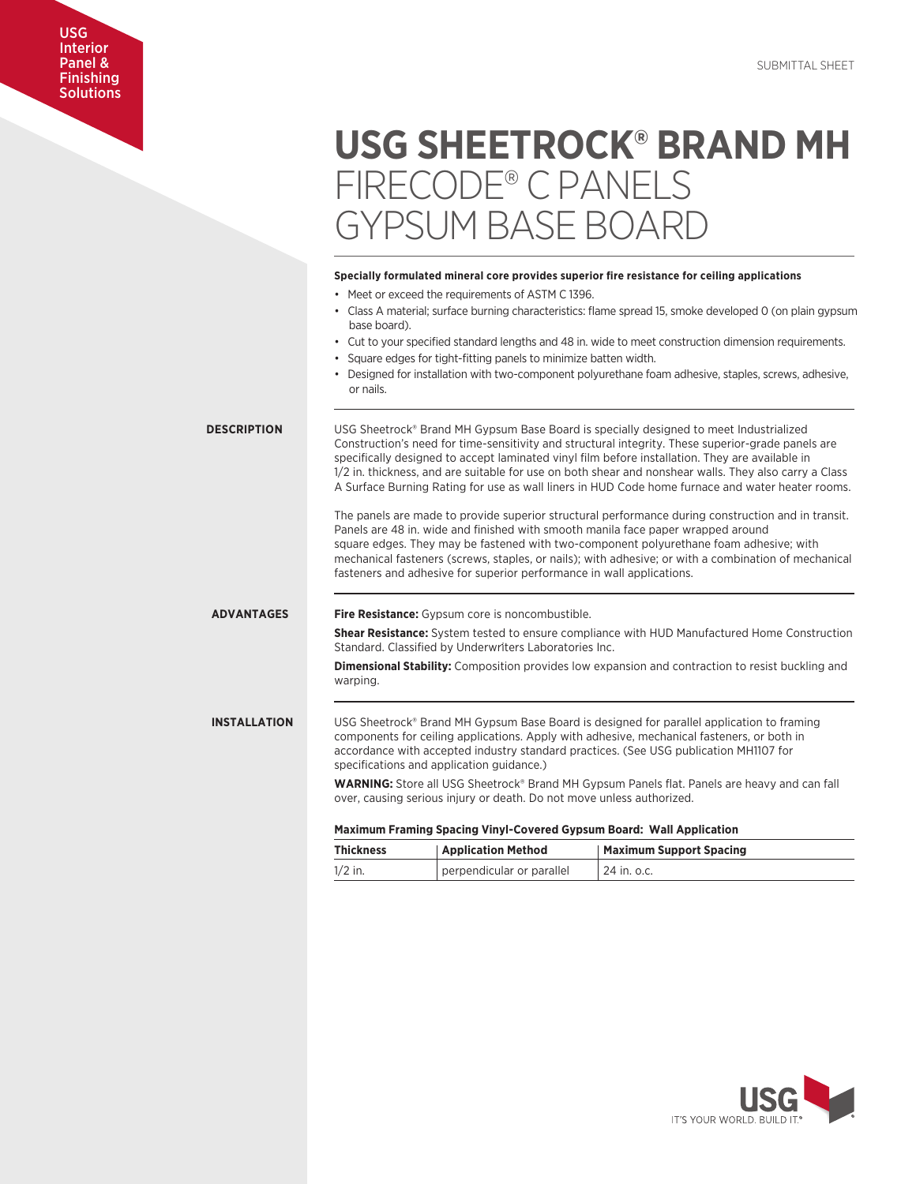# USG Interior Panel & **Finishing Solutions**

# **USG SHEETROCK® BRAND MH** FIRECODE® C PANELS GYPSUM BASE BOARD

|                     | Specially formulated mineral core provides superior fire resistance for ceiling applications                                                                                                                                                                                                                                                                                                                                                                                                                 |
|---------------------|--------------------------------------------------------------------------------------------------------------------------------------------------------------------------------------------------------------------------------------------------------------------------------------------------------------------------------------------------------------------------------------------------------------------------------------------------------------------------------------------------------------|
|                     | • Meet or exceed the requirements of ASTM C 1396.                                                                                                                                                                                                                                                                                                                                                                                                                                                            |
|                     | • Class A material; surface burning characteristics: flame spread 15, smoke developed 0 (on plain gypsum<br>base board).                                                                                                                                                                                                                                                                                                                                                                                     |
|                     | • Cut to your specified standard lengths and 48 in. wide to meet construction dimension requirements.<br>• Square edges for tight-fitting panels to minimize batten width.                                                                                                                                                                                                                                                                                                                                   |
|                     | • Designed for installation with two-component polyurethane foam adhesive, staples, screws, adhesive,<br>or nails.                                                                                                                                                                                                                                                                                                                                                                                           |
| <b>DESCRIPTION</b>  | USG Sheetrock® Brand MH Gypsum Base Board is specially designed to meet Industrialized<br>Construction's need for time-sensitivity and structural integrity. These superior-grade panels are<br>specifically designed to accept laminated vinyl film before installation. They are available in<br>1/2 in. thickness, and are suitable for use on both shear and nonshear walls. They also carry a Class<br>A Surface Burning Rating for use as wall liners in HUD Code home furnace and water heater rooms. |
|                     | The panels are made to provide superior structural performance during construction and in transit.<br>Panels are 48 in. wide and finished with smooth manila face paper wrapped around<br>square edges. They may be fastened with two-component polyurethane foam adhesive; with<br>mechanical fasteners (screws, staples, or nails); with adhesive; or with a combination of mechanical<br>fasteners and adhesive for superior performance in wall applications.                                            |
| <b>ADVANTAGES</b>   | Fire Resistance: Gypsum core is noncombustible.                                                                                                                                                                                                                                                                                                                                                                                                                                                              |
|                     | <b>Shear Resistance:</b> System tested to ensure compliance with HUD Manufactured Home Construction<br>Standard. Classified by Underwriters Laboratories Inc.                                                                                                                                                                                                                                                                                                                                                |
|                     | <b>Dimensional Stability:</b> Composition provides low expansion and contraction to resist buckling and<br>warping.                                                                                                                                                                                                                                                                                                                                                                                          |
| <b>INSTALLATION</b> | USG Sheetrock® Brand MH Gypsum Base Board is designed for parallel application to framing<br>components for ceiling applications. Apply with adhesive, mechanical fasteners, or both in<br>accordance with accepted industry standard practices. (See USG publication MH1107 for<br>specifications and application guidance.)                                                                                                                                                                                |
|                     | <b>WARNING:</b> Store all USG Sheetrock® Brand MH Gypsum Panels flat. Panels are heavy and can fall<br>over, causing serious injury or death. Do not move unless authorized.                                                                                                                                                                                                                                                                                                                                 |
|                     | Maximum Framing Spacing Vinyl-Covered Gypsum Board: Wall Application                                                                                                                                                                                                                                                                                                                                                                                                                                         |
|                     | Thicknocc<br>Annlication Mothod<br>Mavimum Cunnart Capcina                                                                                                                                                                                                                                                                                                                                                                                                                                                   |

| <b>Thickness</b> | <b>Application Method</b> | <b>Maximum Support Spacing</b> |
|------------------|---------------------------|--------------------------------|
| $1/2$ in.        | perpendicular or parallel | 1 24 in. o.c.                  |